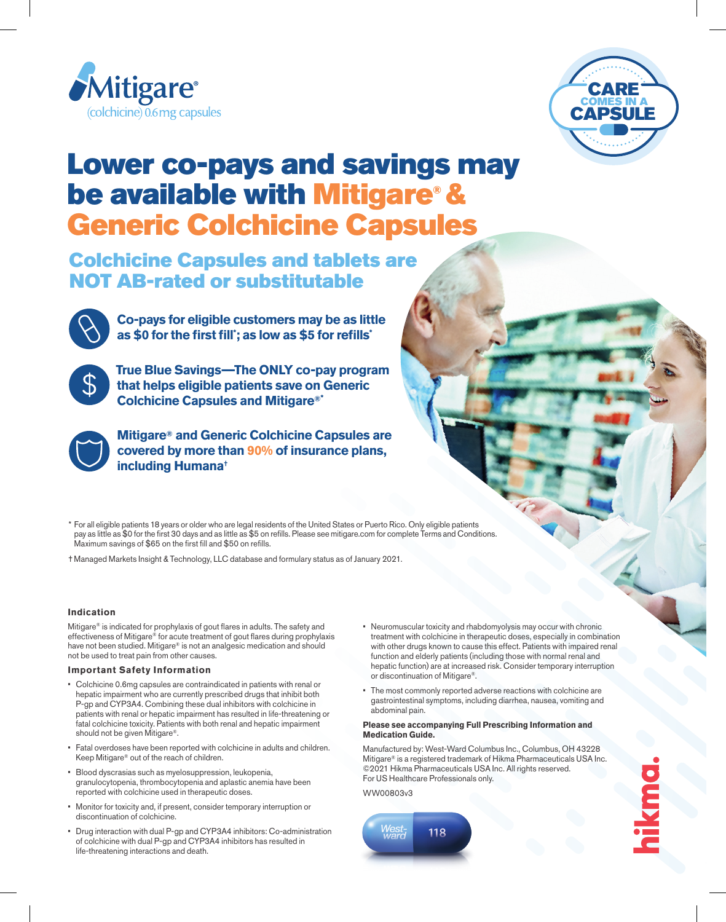



## Lower co-pays and savings may be available with Mitigare® & Generic Colchicine Capsules

### Colchicine Capsules and tablets are NOT AB-rated or substitutable



**Co-pays for eligible customers may be as little as \$0 for the first fill\* ; as low as \$5 for refills\***



**True Blue Savings—The ONLY co-pay program that helps eligible patients save on Generic Colchicine Capsules and Mitigare®\***



**Mitigare® and Generic Colchicine Capsules are covered by more than 90% of insurance plans, including Humana†**

\* For all eligible patients 18 years or older who are legal residents of the United States or Puerto Rico. Only eligible patients pay as little as \$0 for the first 30 days and as little as \$5 on refills. Please see mitigare.com for complete Terms and Conditions. Maximum savings of \$65 on the first fill and \$50 on refills.

† Managed Markets Insight & Technology, LLC database and formulary status as of January 2021.

#### **Indication**

Mitigare® is indicated for prophylaxis of gout flares in adults. The safety and effectiveness of Mitigare® for acute treatment of gout flares during prophylaxis have not been studied. Mitigare® is not an analgesic medication and should not be used to treat pain from other causes.

#### **Important Safety Information**

- Colchicine 0.6mg capsules are contraindicated in patients with renal or hepatic impairment who are currently prescribed drugs that inhibit both P-gp and CYP3A4. Combining these dual inhibitors with colchicine in patients with renal or hepatic impairment has resulted in life-threatening or fatal colchicine toxicity. Patients with both renal and hepatic impairment should not be given Mitigare®.
- Fatal overdoses have been reported with colchicine in adults and children. Keep Mitigare® out of the reach of children.
- Blood dyscrasias such as myelosuppression, leukopenia, granulocytopenia, thrombocytopenia and aplastic anemia have been reported with colchicine used in therapeutic doses.
- Monitor for toxicity and, if present, consider temporary interruption or discontinuation of colchicine.
- Drug interaction with dual P-gp and CYP3A4 inhibitors: Co-administration of colchicine with dual P-gp and CYP3A4 inhibitors has resulted in life-threatening interactions and death.
- Neuromuscular toxicity and rhabdomyolysis may occur with chronic treatment with colchicine in therapeutic doses, especially in combination with other drugs known to cause this effect. Patients with impaired renal function and elderly patients (including those with normal renal and hepatic function) are at increased risk. Consider temporary interruption or discontinuation of Mitigare®.
- The most commonly reported adverse reactions with colchicine are gastrointestinal symptoms, including diarrhea, nausea, vomiting and abdominal pain.

#### **Please see accompanying Full Prescribing Information and Medication Guide.**

Manufactured by: West-Ward Columbus Inc., Columbus, OH 43228 Mitigare® is a registered trademark of Hikma Pharmaceuticals USA Inc. ©2021 Hikma Pharmaceuticals USA Inc. All rights reserved. For US Healthcare Professionals only.

WW00803v3